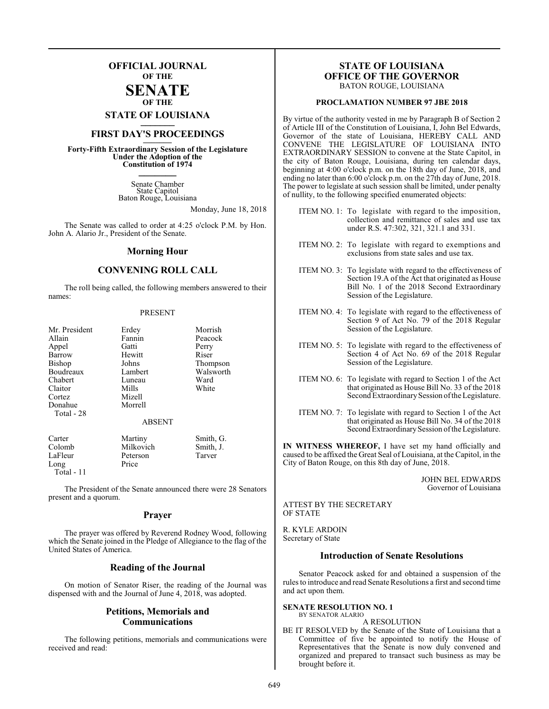### **OFFICIAL JOURNAL OF THE SENATE**

**OF THE**

**STATE OF LOUISIANA \_\_\_\_\_\_\_**

# **FIRST DAY'S PROCEEDINGS \_\_\_\_\_\_\_**

**Forty-Fifth Extraordinary Session of the Legislature Under the Adoption of the Constitution of 1974 \_\_\_\_\_\_\_**

> Senate Chamber State Capitol Baton Rouge, Louisiana

> > Monday, June 18, 2018

The Senate was called to order at 4:25 o'clock P.M. by Hon. John A. Alario Jr., President of the Senate.

#### **Morning Hour**

#### **CONVENING ROLL CALL**

The roll being called, the following members answered to their names:

#### PRESENT

| Mr. President | Erdey         | Morrish   |
|---------------|---------------|-----------|
|               |               |           |
| Allain        | Fannin        | Peacock   |
| Appel         | Gatti         | Perry     |
| Barrow        | Hewitt        | Riser     |
| <b>Bishop</b> | Johns         | Thompson  |
| Boudreaux     | Lambert       | Walsworth |
| Chabert       | Luneau        | Ward      |
| Claitor       | Mills         | White     |
| Cortez        | Mizell        |           |
| Donahue       | Morrell       |           |
| Total - 28    |               |           |
|               | <b>ABSENT</b> |           |
| Carter        | Martiny       | Smith, G. |
| Colomb        | Milkovich     | Smith, J. |
| LaFleur       | Peterson      | Tarver    |
| Long          | Price         |           |
| Total - 11    |               |           |

The President of the Senate announced there were 28 Senators present and a quorum.

#### **Prayer**

The prayer was offered by Reverend Rodney Wood, following which the Senate joined in the Pledge of Allegiance to the flag of the United States of America.

#### **Reading of the Journal**

On motion of Senator Riser, the reading of the Journal was dispensed with and the Journal of June 4, 2018, was adopted.

#### **Petitions, Memorials and Communications**

The following petitions, memorials and communications were received and read:

#### **STATE OF LOUISIANA OFFICE OF THE GOVERNOR** BATON ROUGE, LOUISIANA

#### **PROCLAMATION NUMBER 97 JBE 2018**

By virtue of the authority vested in me by Paragraph B of Section 2 of Article III of the Constitution of Louisiana, I, John Bel Edwards, Governor of the state of Louisiana, HEREBY CALL AND CONVENE THE LEGISLATURE OF LOUISIANA INTO EXTRAORDINARY SESSION to convene at the State Capitol, in the city of Baton Rouge, Louisiana, during ten calendar days, beginning at 4:00 o'clock p.m. on the 18th day of June, 2018, and ending no later than 6:00 o'clock p.m. on the 27th day of June, 2018. The power to legislate at such session shall be limited, under penalty of nullity, to the following specified enumerated objects:

- ITEM NO. 1: To legislate with regard to the imposition, collection and remittance of sales and use tax under R.S. 47:302, 321, 321.1 and 331.
- ITEM NO. 2: To legislate with regard to exemptions and exclusions from state sales and use tax.
- ITEM NO. 3: To legislate with regard to the effectiveness of Section 19.A of the Act that originated as House Bill No. 1 of the 2018 Second Extraordinary Session of the Legislature.
- ITEM NO. 4: To legislate with regard to the effectiveness of Section 9 of Act No. 79 of the 2018 Regular Session of the Legislature.
- ITEM NO. 5: To legislate with regard to the effectiveness of Section 4 of Act No. 69 of the 2018 Regular Session of the Legislature.
- ITEM NO. 6: To legislate with regard to Section 1 of the Act that originated as House Bill No. 33 of the 2018 Second Extraordinary Session of the Legislature.
- ITEM NO. 7: To legislate with regard to Section 1 of the Act that originated as House Bill No. 34 of the 2018 Second Extraordinary Session of the Legislature.

**IN WITNESS WHEREOF,** I have set my hand officially and caused to be affixed the Great Seal of Louisiana, at the Capitol, in the City of Baton Rouge, on this 8th day of June, 2018.

> JOHN BEL EDWARDS Governor of Louisiana

ATTEST BY THE SECRETARY OF STATE

R. KYLE ARDOIN Secretary of State

#### **Introduction of Senate Resolutions**

Senator Peacock asked for and obtained a suspension of the rules to introduce and read Senate Resolutions a first and second time and act upon them.

#### **SENATE RESOLUTION NO. 1** BY SENATOR ALARIO

#### A RESOLUTION

BE IT RESOLVED by the Senate of the State of Louisiana that a Committee of five be appointed to notify the House of Representatives that the Senate is now duly convened and organized and prepared to transact such business as may be brought before it.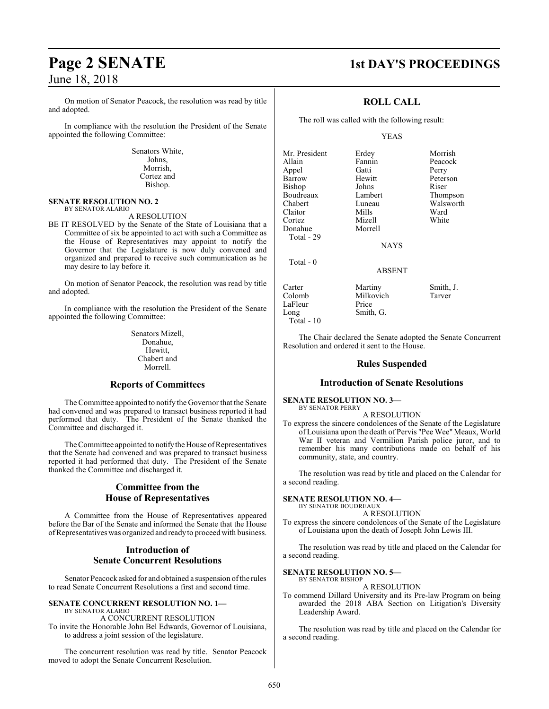# June 18, 2018

On motion of Senator Peacock, the resolution was read by title and adopted.

In compliance with the resolution the President of the Senate appointed the following Committee:

> Senators White, Johns, Morrish, Cortez and Bishop.

#### **SENATE RESOLUTION NO. 2** BY SENATOR ALARIO

A RESOLUTION

BE IT RESOLVED by the Senate of the State of Louisiana that a Committee of six be appointed to act with such a Committee as the House of Representatives may appoint to notify the Governor that the Legislature is now duly convened and organized and prepared to receive such communication as he may desire to lay before it.

On motion of Senator Peacock, the resolution was read by title and adopted.

In compliance with the resolution the President of the Senate appointed the following Committee:

> Senators Mizell, Donahue, Hewitt, Chabert and Morrell.

#### **Reports of Committees**

The Committee appointed to notify the Governor that the Senate had convened and was prepared to transact business reported it had performed that duty. The President of the Senate thanked the Committee and discharged it.

The Committee appointed to notify the House of Representatives that the Senate had convened and was prepared to transact business reported it had performed that duty. The President of the Senate thanked the Committee and discharged it.

#### **Committee from the House of Representatives**

A Committee from the House of Representatives appeared before the Bar of the Senate and informed the Senate that the House ofRepresentatives was organized and ready to proceed with business.

#### **Introduction of Senate Concurrent Resolutions**

Senator Peacock asked for and obtained a suspension of the rules to read Senate Concurrent Resolutions a first and second time.

#### **SENATE CONCURRENT RESOLUTION NO. 1—** BY SENATOR ALARIO

A CONCURRENT RESOLUTION To invite the Honorable John Bel Edwards, Governor of Louisiana, to address a joint session of the legislature.

The concurrent resolution was read by title. Senator Peacock moved to adopt the Senate Concurrent Resolution.

# **Page 2 SENATE 1st DAY'S PROCEEDINGS**

#### **ROLL CALL**

The roll was called with the following result:

#### YEAS

Fannin Peaco<br>Gatti Perry

Mr. President Erdey Morrish<br>Allain Fannin Peacock Appel Barrow Hewitt Peterson<br>Bishop Johns Riser Bishop Johns Riser<br>Boudreaux Lambert Thompson Boudreaux Lambert<br>Chabert Luneau Chabert Luneau Walsworth Cortez Mizell<br>Donahue Morrell Donahue Total - 29 Total - 0

Mills Ward<br>
Mizell White

**NAYS** 

#### ABSENT

Carter Martiny Smith, J.<br>Colomb Milkovich Tarver Milkovich<br>Price LaFleur Long Smith, G. Total - 10

The Chair declared the Senate adopted the Senate Concurrent Resolution and ordered it sent to the House.

#### **Rules Suspended**

#### **Introduction of Senate Resolutions**

**SENATE RESOLUTION NO. 3—** BY SENATOR PERRY

A RESOLUTION

To express the sincere condolences of the Senate of the Legislature of Louisiana upon the death of Pervis "Pee Wee" Meaux, World War II veteran and Vermilion Parish police juror, and to remember his many contributions made on behalf of his community, state, and country.

The resolution was read by title and placed on the Calendar for a second reading.

#### **SENATE RESOLUTION NO. 4—**

BY SENATOR BOUDREAUX A RESOLUTION

To express the sincere condolences of the Senate of the Legislature of Louisiana upon the death of Joseph John Lewis III.

The resolution was read by title and placed on the Calendar for a second reading.

**SENATE RESOLUTION NO. 5—** BY SENATOR BISHOP

A RESOLUTION

To commend Dillard University and its Pre-law Program on being awarded the 2018 ABA Section on Litigation's Diversity Leadership Award.

The resolution was read by title and placed on the Calendar for a second reading.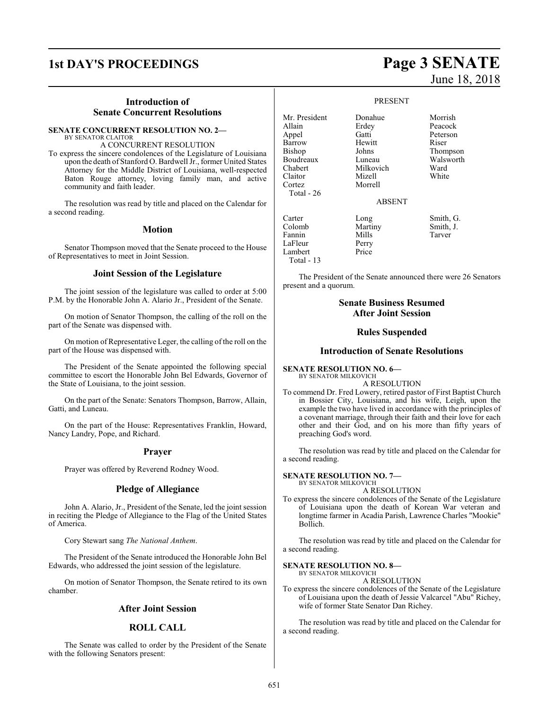# **1st DAY'S PROCEEDINGS Page 3 SENATE**

#### **Introduction of Senate Concurrent Resolutions**

#### **SENATE CONCURRENT RESOLUTION NO. 2—** BY SENATOR CLAITOR

A CONCURRENT RESOLUTION To express the sincere condolences of the Legislature of Louisiana upon the death of Stanford O. Bardwell Jr., former United States Attorney for the Middle District of Louisiana, well-respected Baton Rouge attorney, loving family man, and active community and faith leader.

The resolution was read by title and placed on the Calendar for a second reading.

#### **Motion**

Senator Thompson moved that the Senate proceed to the House of Representatives to meet in Joint Session.

#### **Joint Session of the Legislature**

The joint session of the legislature was called to order at 5:00 P.M. by the Honorable John A. Alario Jr., President of the Senate.

On motion of Senator Thompson, the calling of the roll on the part of the Senate was dispensed with.

On motion of Representative Leger, the calling of the roll on the part of the House was dispensed with.

The President of the Senate appointed the following special committee to escort the Honorable John Bel Edwards, Governor of the State of Louisiana, to the joint session.

On the part of the Senate: Senators Thompson, Barrow, Allain, Gatti, and Luneau.

On the part of the House: Representatives Franklin, Howard, Nancy Landry, Pope, and Richard.

#### **Prayer**

Prayer was offered by Reverend Rodney Wood.

#### **Pledge of Allegiance**

John A. Alario, Jr., President of the Senate, led the joint session in reciting the Pledge of Allegiance to the Flag of the United States of America.

Cory Stewart sang *The National Anthem*.

The President of the Senate introduced the Honorable John Bel Edwards, who addressed the joint session of the legislature.

On motion of Senator Thompson, the Senate retired to its own chamber.

#### **After Joint Session**

#### **ROLL CALL**

The Senate was called to order by the President of the Senate with the following Senators present:

# June 18, 2018

#### PRESENT

Mr. President Donahue Morrish<br>Allain Erdev Peacock Erdey<br>Gatti Appel Gatti Peterson<br>Barrow Hewitt Riser Barrow Hewit<br>Bishop Johns Boudreaux Luneau Walsworth<br>
Chabert Milkovich Ward Milkovich Ward<br>
Mizell White Claitor<br>Cortez Morrell Total - 26 ABSENT Carter Long Smith, G. Colomb Martiny Smith, J.<br>Fannin Mills Tarver Fannin Mills Tarver LaFleur Perry Lambert Price Total - 13

Thompson

The President of the Senate announced there were 26 Senators present and a quorum.

#### **Senate Business Resumed After Joint Session**

#### **Rules Suspended**

#### **Introduction of Senate Resolutions**

**SENATE RESOLUTION NO. 6—** BY SENATOR MILKOVICH

A RESOLUTION

To commend Dr. Fred Lowery, retired pastor of First Baptist Church in Bossier City, Louisiana, and his wife, Leigh, upon the example the two have lived in accordance with the principles of a covenant marriage, through their faith and their love for each other and their God, and on his more than fifty years of preaching God's word.

The resolution was read by title and placed on the Calendar for a second reading.

#### **SENATE RESOLUTION NO. 7—**

BY SENATOR MILKOVICH A RESOLUTION

To express the sincere condolences of the Senate of the Legislature of Louisiana upon the death of Korean War veteran and longtime farmer in Acadia Parish, Lawrence Charles "Mookie" Bollich.

The resolution was read by title and placed on the Calendar for a second reading.

#### **SENATE RESOLUTION NO. 8—**

BY SENATOR MILKOVICH A RESOLUTION

To express the sincere condolences of the Senate of the Legislature of Louisiana upon the death of Jessie Valcarcel "Abu" Richey, wife of former State Senator Dan Richey.

The resolution was read by title and placed on the Calendar for a second reading.